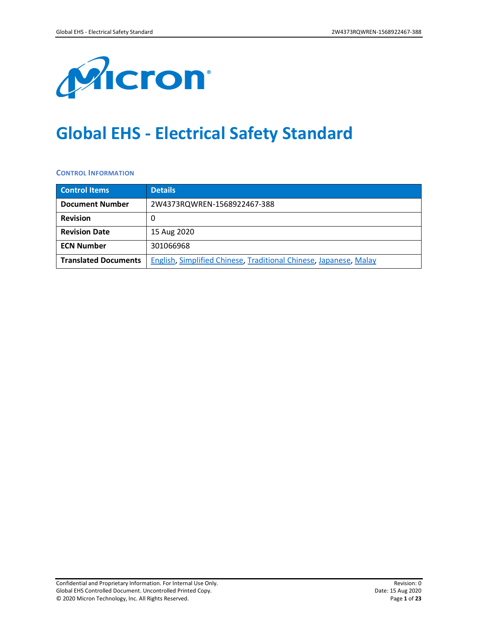

# **Global EHS - Electrical Safety Standard**

**CONTROL INFORMATION**

| <b>Control Items</b>        | <b>Details</b>                                                    |
|-----------------------------|-------------------------------------------------------------------|
| <b>Document Number</b>      | 2W4373RQWREN-1568922467-388                                       |
| <b>Revision</b>             |                                                                   |
| <b>Revision Date</b>        | 15 Aug 2020                                                       |
| <b>ECN Number</b>           | 301066968                                                         |
| <b>Translated Documents</b> | English, Simplified Chinese, Traditional Chinese, Japanese, Malay |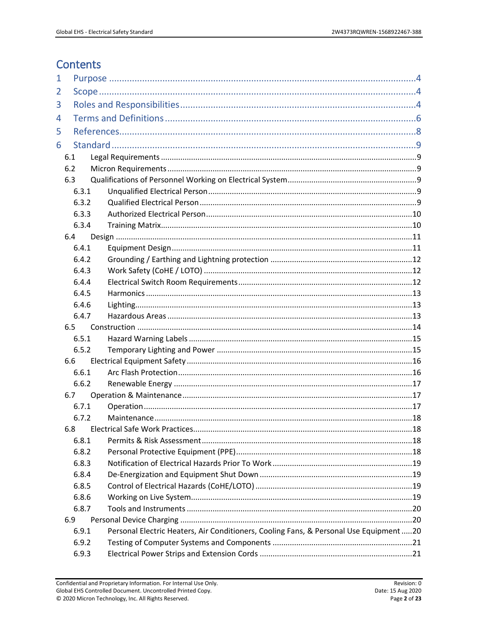# **Contents**

| $\mathbf 1$ |            |                                                                                        |  |
|-------------|------------|----------------------------------------------------------------------------------------|--|
| 2           |            |                                                                                        |  |
| 3           |            |                                                                                        |  |
| 4           |            |                                                                                        |  |
| 5           |            |                                                                                        |  |
| 6           |            |                                                                                        |  |
|             |            |                                                                                        |  |
|             | 6.1<br>6.2 |                                                                                        |  |
|             | 6.3        |                                                                                        |  |
|             | 6.3.1      |                                                                                        |  |
|             | 6.3.2      |                                                                                        |  |
|             | 6.3.3      |                                                                                        |  |
|             | 6.3.4      |                                                                                        |  |
|             | 6.4        |                                                                                        |  |
|             | 6.4.1      |                                                                                        |  |
|             | 6.4.2      |                                                                                        |  |
|             | 6.4.3      |                                                                                        |  |
|             | 6.4.4      |                                                                                        |  |
|             | 6.4.5      |                                                                                        |  |
|             | 6.4.6      |                                                                                        |  |
|             | 6.4.7      |                                                                                        |  |
|             | 6.5        |                                                                                        |  |
|             | 6.5.1      |                                                                                        |  |
|             | 6.5.2      |                                                                                        |  |
|             | 6.6        |                                                                                        |  |
|             | 6.6.1      |                                                                                        |  |
|             | 6.6.2      |                                                                                        |  |
|             | 6.7        |                                                                                        |  |
|             | 6.7.1      |                                                                                        |  |
|             | 6.7.2      |                                                                                        |  |
|             | 6.8        |                                                                                        |  |
|             | 6.8.1      |                                                                                        |  |
|             | 6.8.2      |                                                                                        |  |
|             | 6.8.3      |                                                                                        |  |
|             | 6.8.4      |                                                                                        |  |
|             | 6.8.5      |                                                                                        |  |
|             | 6.8.6      |                                                                                        |  |
|             | 6.8.7      |                                                                                        |  |
|             | 6.9        |                                                                                        |  |
|             | 6.9.1      | Personal Electric Heaters, Air Conditioners, Cooling Fans, & Personal Use Equipment 20 |  |
|             | 6.9.2      |                                                                                        |  |
|             | 6.9.3      |                                                                                        |  |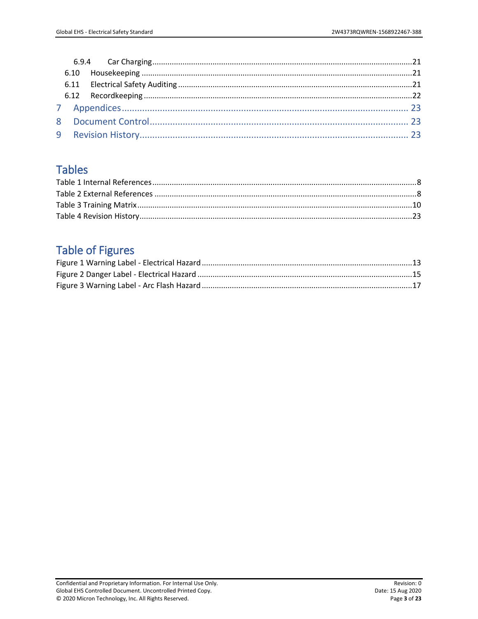# **Tables**

# **Table of Figures**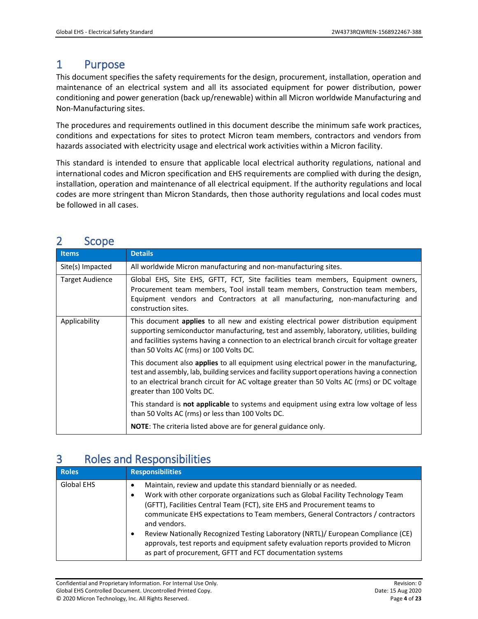# <span id="page-3-0"></span>1 Purpose

This document specifies the safety requirements for the design, procurement, installation, operation and maintenance of an electrical system and all its associated equipment for power distribution, power conditioning and power generation (back up/renewable) within all Micron worldwide Manufacturing and Non-Manufacturing sites.

The procedures and requirements outlined in this document describe the minimum safe work practices, conditions and expectations for sites to protect Micron team members, contractors and vendors from hazards associated with electricity usage and electrical work activities within a Micron facility.

This standard is intended to ensure that applicable local electrical authority regulations, national and international codes and Micron specification and EHS requirements are complied with during the design, installation, operation and maintenance of all electrical equipment. If the authority regulations and local codes are more stringent than Micron Standards, then those authority regulations and local codes must be followed in all cases.

| ∼<br>ししししし             |                                                                                                                                                                                                                                                                                                                                         |
|------------------------|-----------------------------------------------------------------------------------------------------------------------------------------------------------------------------------------------------------------------------------------------------------------------------------------------------------------------------------------|
| <b>Items</b>           | <b>Details</b>                                                                                                                                                                                                                                                                                                                          |
| Site(s) Impacted       | All worldwide Micron manufacturing and non-manufacturing sites.                                                                                                                                                                                                                                                                         |
| <b>Target Audience</b> | Global EHS, Site EHS, GFTT, FCT, Site facilities team members, Equipment owners,<br>Procurement team members, Tool install team members, Construction team members,<br>Equipment vendors and Contractors at all manufacturing, non-manufacturing and<br>construction sites.                                                             |
| Applicability          | This document <b>applies</b> to all new and existing electrical power distribution equipment<br>supporting semiconductor manufacturing, test and assembly, laboratory, utilities, building<br>and facilities systems having a connection to an electrical branch circuit for voltage greater<br>than 50 Volts AC (rms) or 100 Volts DC. |
|                        | This document also <b>applies</b> to all equipment using electrical power in the manufacturing,<br>test and assembly, lab, building services and facility support operations having a connection<br>to an electrical branch circuit for AC voltage greater than 50 Volts AC (rms) or DC voltage<br>greater than 100 Volts DC.           |
|                        | This standard is not applicable to systems and equipment using extra low voltage of less<br>than 50 Volts AC (rms) or less than 100 Volts DC.                                                                                                                                                                                           |
|                        | NOTE: The criteria listed above are for general guidance only.                                                                                                                                                                                                                                                                          |

# <span id="page-3-1"></span>2 Scope

# <span id="page-3-2"></span>3 Roles and Responsibilities

| <b>Roles</b>      | <b>Responsibilities</b>                                                                                                                                                                                                                                                                                                                                                                                                                                                                                                                                                                        |
|-------------------|------------------------------------------------------------------------------------------------------------------------------------------------------------------------------------------------------------------------------------------------------------------------------------------------------------------------------------------------------------------------------------------------------------------------------------------------------------------------------------------------------------------------------------------------------------------------------------------------|
| <b>Global EHS</b> | Maintain, review and update this standard biennially or as needed.<br>٠<br>Work with other corporate organizations such as Global Facility Technology Team<br>(GFTT), Facilities Central Team (FCT), site EHS and Procurement teams to<br>communicate EHS expectations to Team members, General Contractors / contractors<br>and vendors.<br>Review Nationally Recognized Testing Laboratory (NRTL)/ European Compliance (CE)<br>$\bullet$<br>approvals, test reports and equipment safety evaluation reports provided to Micron<br>as part of procurement, GFTT and FCT documentation systems |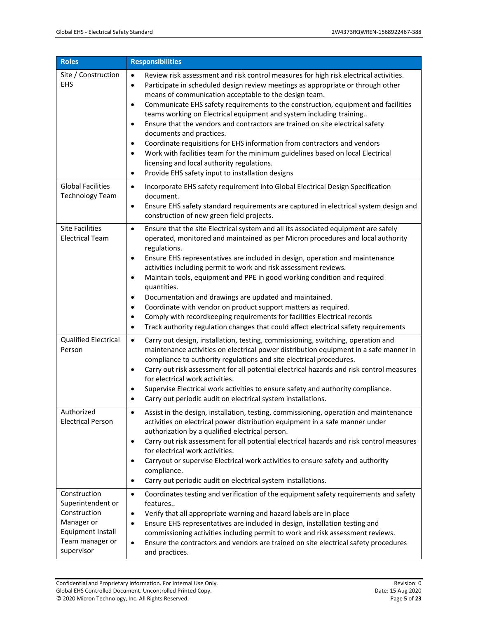| <b>Roles</b>                                                                                                                 | <b>Responsibilities</b>                                                                                                                                                                                                                                                                                                                                                                                                                                                                                                                                                                                                                                                                                                                                                                                                                                               |
|------------------------------------------------------------------------------------------------------------------------------|-----------------------------------------------------------------------------------------------------------------------------------------------------------------------------------------------------------------------------------------------------------------------------------------------------------------------------------------------------------------------------------------------------------------------------------------------------------------------------------------------------------------------------------------------------------------------------------------------------------------------------------------------------------------------------------------------------------------------------------------------------------------------------------------------------------------------------------------------------------------------|
| Site / Construction<br><b>EHS</b>                                                                                            | Review risk assessment and risk control measures for high risk electrical activities.<br>$\bullet$<br>Participate in scheduled design review meetings as appropriate or through other<br>$\bullet$<br>means of communication acceptable to the design team.<br>Communicate EHS safety requirements to the construction, equipment and facilities<br>$\bullet$<br>teams working on Electrical equipment and system including training<br>Ensure that the vendors and contractors are trained on site electrical safety<br>$\bullet$<br>documents and practices.<br>Coordinate requisitions for EHS information from contractors and vendors<br>$\bullet$<br>Work with facilities team for the minimum guidelines based on local Electrical<br>$\bullet$<br>licensing and local authority regulations.<br>Provide EHS safety input to installation designs<br>$\bullet$ |
| <b>Global Facilities</b><br><b>Technology Team</b>                                                                           | Incorporate EHS safety requirement into Global Electrical Design Specification<br>$\bullet$<br>document.<br>Ensure EHS safety standard requirements are captured in electrical system design and<br>$\bullet$<br>construction of new green field projects.                                                                                                                                                                                                                                                                                                                                                                                                                                                                                                                                                                                                            |
| <b>Site Facilities</b><br><b>Electrical Team</b>                                                                             | Ensure that the site Electrical system and all its associated equipment are safely<br>$\bullet$<br>operated, monitored and maintained as per Micron procedures and local authority<br>regulations.<br>Ensure EHS representatives are included in design, operation and maintenance<br>$\bullet$<br>activities including permit to work and risk assessment reviews.<br>Maintain tools, equipment and PPE in good working condition and required<br>$\bullet$<br>quantities.<br>Documentation and drawings are updated and maintained.<br>$\bullet$<br>Coordinate with vendor on product support matters as required.<br>$\bullet$<br>Comply with recordkeeping requirements for facilities Electrical records<br>$\bullet$<br>Track authority regulation changes that could affect electrical safety requirements<br>$\bullet$                                        |
| <b>Qualified Electrical</b><br>Person                                                                                        | Carry out design, installation, testing, commissioning, switching, operation and<br>$\bullet$<br>maintenance activities on electrical power distribution equipment in a safe manner in<br>compliance to authority regulations and site electrical procedures.<br>Carry out risk assessment for all potential electrical hazards and risk control measures<br>٠<br>for electrical work activities.<br>Supervise Electrical work activities to ensure safety and authority compliance.<br>$\bullet$<br>Carry out periodic audit on electrical system installations.                                                                                                                                                                                                                                                                                                     |
| Authorized<br><b>Electrical Person</b>                                                                                       | Assist in the design, installation, testing, commissioning, operation and maintenance<br>$\bullet$<br>activities on electrical power distribution equipment in a safe manner under<br>authorization by a qualified electrical person.<br>Carry out risk assessment for all potential electrical hazards and risk control measures<br>$\bullet$<br>for electrical work activities.<br>Carryout or supervise Electrical work activities to ensure safety and authority<br>$\bullet$<br>compliance.<br>Carry out periodic audit on electrical system installations.<br>$\bullet$                                                                                                                                                                                                                                                                                         |
| Construction<br>Superintendent or<br>Construction<br>Manager or<br><b>Equipment Install</b><br>Team manager or<br>supervisor | Coordinates testing and verification of the equipment safety requirements and safety<br>$\bullet$<br>features<br>Verify that all appropriate warning and hazard labels are in place<br>$\bullet$<br>Ensure EHS representatives are included in design, installation testing and<br>$\bullet$<br>commissioning activities including permit to work and risk assessment reviews.<br>Ensure the contractors and vendors are trained on site electrical safety procedures<br>$\bullet$<br>and practices.                                                                                                                                                                                                                                                                                                                                                                  |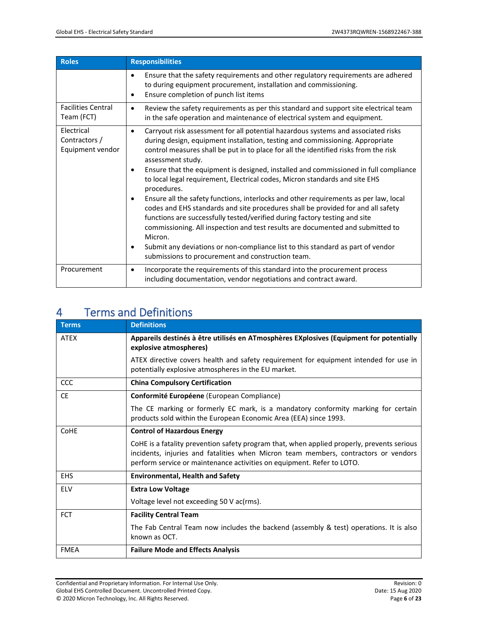| <b>Roles</b>                                    | <b>Responsibilities</b>                                                                                                                                                                                                                                                                                                                                                                                                                                                                                                                                                                                                                                                                                                                                                                                                                                                                                                                                                                                  |
|-------------------------------------------------|----------------------------------------------------------------------------------------------------------------------------------------------------------------------------------------------------------------------------------------------------------------------------------------------------------------------------------------------------------------------------------------------------------------------------------------------------------------------------------------------------------------------------------------------------------------------------------------------------------------------------------------------------------------------------------------------------------------------------------------------------------------------------------------------------------------------------------------------------------------------------------------------------------------------------------------------------------------------------------------------------------|
|                                                 | Ensure that the safety requirements and other regulatory requirements are adhered<br>$\bullet$<br>to during equipment procurement, installation and commissioning.<br>Ensure completion of punch list items<br>٠                                                                                                                                                                                                                                                                                                                                                                                                                                                                                                                                                                                                                                                                                                                                                                                         |
| <b>Facilities Central</b><br>Team (FCT)         | Review the safety requirements as per this standard and support site electrical team<br>$\bullet$<br>in the safe operation and maintenance of electrical system and equipment.                                                                                                                                                                                                                                                                                                                                                                                                                                                                                                                                                                                                                                                                                                                                                                                                                           |
| Electrical<br>Contractors /<br>Equipment vendor | Carryout risk assessment for all potential hazardous systems and associated risks<br>$\bullet$<br>during design, equipment installation, testing and commissioning. Appropriate<br>control measures shall be put in to place for all the identified risks from the risk<br>assessment study.<br>Ensure that the equipment is designed, installed and commissioned in full compliance<br>٠<br>to local legal requirement, Electrical codes, Micron standards and site EHS<br>procedures.<br>Ensure all the safety functions, interlocks and other requirements as per law, local<br>$\bullet$<br>codes and EHS standards and site procedures shall be provided for and all safety<br>functions are successfully tested/verified during factory testing and site<br>commissioning. All inspection and test results are documented and submitted to<br>Micron.<br>Submit any deviations or non-compliance list to this standard as part of vendor<br>٠<br>submissions to procurement and construction team. |
| Procurement                                     | Incorporate the requirements of this standard into the procurement process<br>$\bullet$<br>including documentation, vendor negotiations and contract award.                                                                                                                                                                                                                                                                                                                                                                                                                                                                                                                                                                                                                                                                                                                                                                                                                                              |

# <span id="page-5-0"></span>4 Terms and Definitions

| <b>Terms</b> | <b>Definitions</b>                                                                                                                                                                                                                                          |
|--------------|-------------------------------------------------------------------------------------------------------------------------------------------------------------------------------------------------------------------------------------------------------------|
| <b>ATEX</b>  | Appareils destinés à être utilisés en ATmosphères EXplosives (Equipment for potentially<br>explosive atmospheres)                                                                                                                                           |
|              | ATEX directive covers health and safety requirement for equipment intended for use in<br>potentially explosive atmospheres in the EU market.                                                                                                                |
| CCC          | <b>China Compulsory Certification</b>                                                                                                                                                                                                                       |
| <b>CE</b>    | Conformité Européene (European Compliance)                                                                                                                                                                                                                  |
|              | The CE marking or formerly EC mark, is a mandatory conformity marking for certain<br>products sold within the European Economic Area (EEA) since 1993.                                                                                                      |
| CoHE         | <b>Control of Hazardous Energy</b>                                                                                                                                                                                                                          |
|              | CoHE is a fatality prevention safety program that, when applied properly, prevents serious<br>incidents, injuries and fatalities when Micron team members, contractors or vendors<br>perform service or maintenance activities on equipment. Refer to LOTO. |
| <b>EHS</b>   | <b>Environmental, Health and Safety</b>                                                                                                                                                                                                                     |
| <b>ELV</b>   | <b>Extra Low Voltage</b>                                                                                                                                                                                                                                    |
|              | Voltage level not exceeding 50 V ac(rms).                                                                                                                                                                                                                   |
| <b>FCT</b>   | <b>Facility Central Team</b>                                                                                                                                                                                                                                |
|              | The Fab Central Team now includes the backend (assembly & test) operations. It is also<br>known as OCT.                                                                                                                                                     |
| <b>FMEA</b>  | <b>Failure Mode and Effects Analysis</b>                                                                                                                                                                                                                    |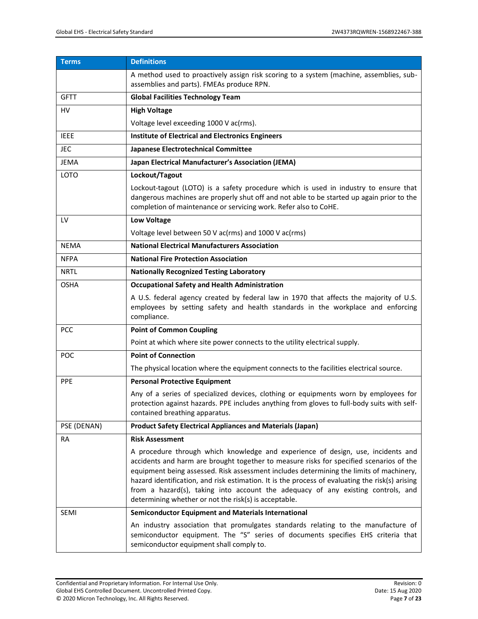| <b>Terms</b> | <b>Definitions</b>                                                                                                                                                                                                                                                                                                                                                                                                                                                                                                     |
|--------------|------------------------------------------------------------------------------------------------------------------------------------------------------------------------------------------------------------------------------------------------------------------------------------------------------------------------------------------------------------------------------------------------------------------------------------------------------------------------------------------------------------------------|
|              | A method used to proactively assign risk scoring to a system (machine, assemblies, sub-<br>assemblies and parts). FMEAs produce RPN.                                                                                                                                                                                                                                                                                                                                                                                   |
| <b>GFTT</b>  | <b>Global Facilities Technology Team</b>                                                                                                                                                                                                                                                                                                                                                                                                                                                                               |
| <b>HV</b>    | <b>High Voltage</b>                                                                                                                                                                                                                                                                                                                                                                                                                                                                                                    |
|              | Voltage level exceeding 1000 V ac(rms).                                                                                                                                                                                                                                                                                                                                                                                                                                                                                |
| <b>IEEE</b>  | <b>Institute of Electrical and Electronics Engineers</b>                                                                                                                                                                                                                                                                                                                                                                                                                                                               |
| JEC          | Japanese Electrotechnical Committee                                                                                                                                                                                                                                                                                                                                                                                                                                                                                    |
| <b>JEMA</b>  | Japan Electrical Manufacturer's Association (JEMA)                                                                                                                                                                                                                                                                                                                                                                                                                                                                     |
| LOTO         | Lockout/Tagout                                                                                                                                                                                                                                                                                                                                                                                                                                                                                                         |
|              | Lockout-tagout (LOTO) is a safety procedure which is used in industry to ensure that<br>dangerous machines are properly shut off and not able to be started up again prior to the<br>completion of maintenance or servicing work. Refer also to CoHE.                                                                                                                                                                                                                                                                  |
| LV           | <b>Low Voltage</b>                                                                                                                                                                                                                                                                                                                                                                                                                                                                                                     |
|              | Voltage level between 50 V ac(rms) and 1000 V ac(rms)                                                                                                                                                                                                                                                                                                                                                                                                                                                                  |
| <b>NEMA</b>  | <b>National Electrical Manufacturers Association</b>                                                                                                                                                                                                                                                                                                                                                                                                                                                                   |
| <b>NFPA</b>  | <b>National Fire Protection Association</b>                                                                                                                                                                                                                                                                                                                                                                                                                                                                            |
| <b>NRTL</b>  | <b>Nationally Recognized Testing Laboratory</b>                                                                                                                                                                                                                                                                                                                                                                                                                                                                        |
| <b>OSHA</b>  | <b>Occupational Safety and Health Administration</b>                                                                                                                                                                                                                                                                                                                                                                                                                                                                   |
|              | A U.S. federal agency created by federal law in 1970 that affects the majority of U.S.<br>employees by setting safety and health standards in the workplace and enforcing<br>compliance.                                                                                                                                                                                                                                                                                                                               |
| <b>PCC</b>   | <b>Point of Common Coupling</b>                                                                                                                                                                                                                                                                                                                                                                                                                                                                                        |
|              | Point at which where site power connects to the utility electrical supply.                                                                                                                                                                                                                                                                                                                                                                                                                                             |
| POC          | <b>Point of Connection</b>                                                                                                                                                                                                                                                                                                                                                                                                                                                                                             |
|              | The physical location where the equipment connects to the facilities electrical source.                                                                                                                                                                                                                                                                                                                                                                                                                                |
| <b>PPE</b>   | <b>Personal Protective Equipment</b>                                                                                                                                                                                                                                                                                                                                                                                                                                                                                   |
|              | Any of a series of specialized devices, clothing or equipments worn by employees for<br>protection against hazards. PPE includes anything from gloves to full-body suits with self-<br>contained breathing apparatus.                                                                                                                                                                                                                                                                                                  |
| PSE (DENAN)  | <b>Product Safety Electrical Appliances and Materials (Japan)</b>                                                                                                                                                                                                                                                                                                                                                                                                                                                      |
| RA           | <b>Risk Assessment</b>                                                                                                                                                                                                                                                                                                                                                                                                                                                                                                 |
|              | A procedure through which knowledge and experience of design, use, incidents and<br>accidents and harm are brought together to measure risks for specified scenarios of the<br>equipment being assessed. Risk assessment includes determining the limits of machinery,<br>hazard identification, and risk estimation. It is the process of evaluating the risk(s) arising<br>from a hazard(s), taking into account the adequacy of any existing controls, and<br>determining whether or not the risk(s) is acceptable. |
| <b>SEMI</b>  | <b>Semiconductor Equipment and Materials International</b>                                                                                                                                                                                                                                                                                                                                                                                                                                                             |
|              | An industry association that promulgates standards relating to the manufacture of<br>semiconductor equipment. The "S" series of documents specifies EHS criteria that<br>semiconductor equipment shall comply to.                                                                                                                                                                                                                                                                                                      |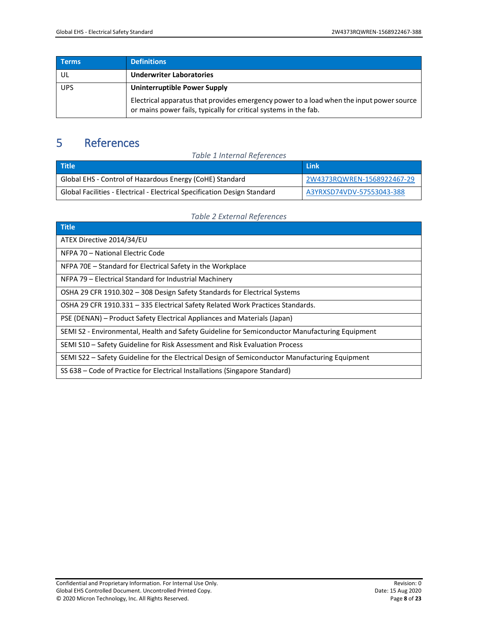| <b>Terms</b> | Definitions                                                                                                                                                  |
|--------------|--------------------------------------------------------------------------------------------------------------------------------------------------------------|
| UL           | <b>Underwriter Laboratories</b>                                                                                                                              |
| <b>UPS</b>   | <b>Uninterruptible Power Supply</b>                                                                                                                          |
|              | Electrical apparatus that provides emergency power to a load when the input power source<br>or mains power fails, typically for critical systems in the fab. |

# <span id="page-7-0"></span>5 References

<span id="page-7-1"></span>

| <b>Table 1 Internal References</b>                                        |                            |  |  |
|---------------------------------------------------------------------------|----------------------------|--|--|
| <b>Title</b>                                                              | <b>Link</b>                |  |  |
| Global EHS - Control of Hazardous Energy (CoHE) Standard                  | 2W4373RQWREN-1568922467-29 |  |  |
| Global Facilities - Electrical - Electrical Specification Design Standard | A3YRXSD74VDV-57553043-388  |  |  |

### *Table 2 External References*

<span id="page-7-2"></span>

| Title                                                                                          |
|------------------------------------------------------------------------------------------------|
| ATEX Directive 2014/34/EU                                                                      |
| NFPA 70 - National Electric Code                                                               |
| NFPA 70E – Standard for Electrical Safety in the Workplace                                     |
| NFPA 79 – Electrical Standard for Industrial Machinery                                         |
| OSHA 29 CFR 1910.302 - 308 Design Safety Standards for Electrical Systems                      |
| OSHA 29 CFR 1910.331 - 335 Electrical Safety Related Work Practices Standards.                 |
| PSE (DENAN) – Product Safety Electrical Appliances and Materials (Japan)                       |
| SEMI S2 - Environmental, Health and Safety Guideline for Semiconductor Manufacturing Equipment |
| SEMI S10 - Safety Guideline for Risk Assessment and Risk Evaluation Process                    |
| SEMI S22 - Safety Guideline for the Electrical Design of Semiconductor Manufacturing Equipment |
| SS 638 – Code of Practice for Electrical Installations (Singapore Standard)                    |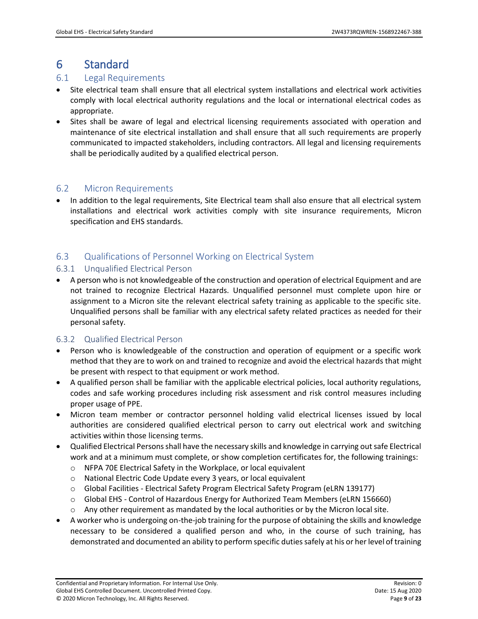# <span id="page-8-0"></span>6 Standard

## <span id="page-8-1"></span>6.1 Legal Requirements

- Site electrical team shall ensure that all electrical system installations and electrical work activities comply with local electrical authority regulations and the local or international electrical codes as appropriate.
- Sites shall be aware of legal and electrical licensing requirements associated with operation and maintenance of site electrical installation and shall ensure that all such requirements are properly communicated to impacted stakeholders, including contractors. All legal and licensing requirements shall be periodically audited by a qualified electrical person.

# <span id="page-8-2"></span>6.2 Micron Requirements

• In addition to the legal requirements, Site Electrical team shall also ensure that all electrical system installations and electrical work activities comply with site insurance requirements, Micron specification and EHS standards.

# <span id="page-8-3"></span>6.3 Qualifications of Personnel Working on Electrical System

### <span id="page-8-4"></span>6.3.1 Unqualified Electrical Person

• A person who is not knowledgeable of the construction and operation of electrical Equipment and are not trained to recognize Electrical Hazards. Unqualified personnel must complete upon hire or assignment to a Micron site the relevant electrical safety training as applicable to the specific site. Unqualified persons shall be familiar with any electrical safety related practices as needed for their personal safety.

#### <span id="page-8-5"></span>6.3.2 Qualified Electrical Person

- Person who is knowledgeable of the construction and operation of equipment or a specific work method that they are to work on and trained to recognize and avoid the electrical hazards that might be present with respect to that equipment or work method.
- A qualified person shall be familiar with the applicable electrical policies, local authority regulations, codes and safe working procedures including risk assessment and risk control measures including proper usage of PPE.
- Micron team member or contractor personnel holding valid electrical licenses issued by local authorities are considered qualified electrical person to carry out electrical work and switching activities within those licensing terms.
- Qualified Electrical Persons shall have the necessary skills and knowledge in carrying out safe Electrical work and at a minimum must complete, or show completion certificates for, the following trainings:
	- o NFPA 70E Electrical Safety in the Workplace, or local equivalent
	- o National Electric Code Update every 3 years, or local equivalent
	- o Global Facilities Electrical Safety Program Electrical Safety Program (eLRN 139177)
	- o Global EHS Control of Hazardous Energy for Authorized Team Members (eLRN 156660)
	- $\circ$  Any other requirement as mandated by the local authorities or by the Micron local site.
- A worker who is undergoing on-the-job training for the purpose of obtaining the skills and knowledge necessary to be considered a qualified person and who, in the course of such training, has demonstrated and documented an ability to perform specific duties safely at his or her level of training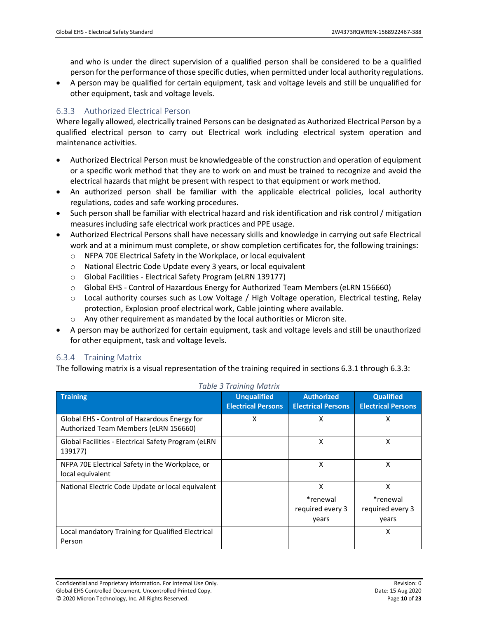and who is under the direct supervision of a qualified person shall be considered to be a qualified person for the performance of those specific duties, when permitted under local authority regulations.

• A person may be qualified for certain equipment, task and voltage levels and still be unqualified for other equipment, task and voltage levels.

### <span id="page-9-0"></span>6.3.3 Authorized Electrical Person

Where legally allowed, electrically trained Persons can be designated as Authorized Electrical Person by a qualified electrical person to carry out Electrical work including electrical system operation and maintenance activities.

- Authorized Electrical Person must be knowledgeable of the construction and operation of equipment or a specific work method that they are to work on and must be trained to recognize and avoid the electrical hazards that might be present with respect to that equipment or work method.
- An authorized person shall be familiar with the applicable electrical policies, local authority regulations, codes and safe working procedures.
- Such person shall be familiar with electrical hazard and risk identification and risk control / mitigation measures including safe electrical work practices and PPE usage.
- Authorized Electrical Persons shall have necessary skills and knowledge in carrying out safe Electrical work and at a minimum must complete, or show completion certificates for, the following trainings:
	- o NFPA 70E Electrical Safety in the Workplace, or local equivalent
	- o National Electric Code Update every 3 years, or local equivalent
	- o Global Facilities Electrical Safety Program (eLRN 139177)
	- o Global EHS Control of Hazardous Energy for Authorized Team Members (eLRN 156660)
	- o Local authority courses such as Low Voltage / High Voltage operation, Electrical testing, Relay protection, Explosion proof electrical work, Cable jointing where available.
	- $\circ$  Any other requirement as mandated by the local authorities or Micron site.
- A person may be authorized for certain equipment, task and voltage levels and still be unauthorized for other equipment, task and voltage levels.

#### <span id="page-9-1"></span>6.3.4 Training Matrix

The following matrix is a visual representation of the training required in sections 6.3.1 through 6.3.3:

<span id="page-9-2"></span>

| <b>Training</b>                                                                       | <b>Unqualified</b><br><b>Electrical Persons</b> | <b>Authorized</b><br><b>Electrical Persons</b> | <b>Qualified</b><br><b>Electrical Persons</b> |
|---------------------------------------------------------------------------------------|-------------------------------------------------|------------------------------------------------|-----------------------------------------------|
| Global EHS - Control of Hazardous Energy for<br>Authorized Team Members (eLRN 156660) | X                                               | X                                              | X                                             |
| Global Facilities - Electrical Safety Program (eLRN<br>139177)                        |                                                 | X                                              | x                                             |
| NFPA 70E Electrical Safety in the Workplace, or<br>local equivalent                   |                                                 | X                                              | x                                             |
| National Electric Code Update or local equivalent                                     |                                                 | X<br>*renewal<br>required every 3<br>years     | x<br>*renewal<br>required every 3<br>years    |
| Local mandatory Training for Qualified Electrical<br>Person                           |                                                 |                                                | X                                             |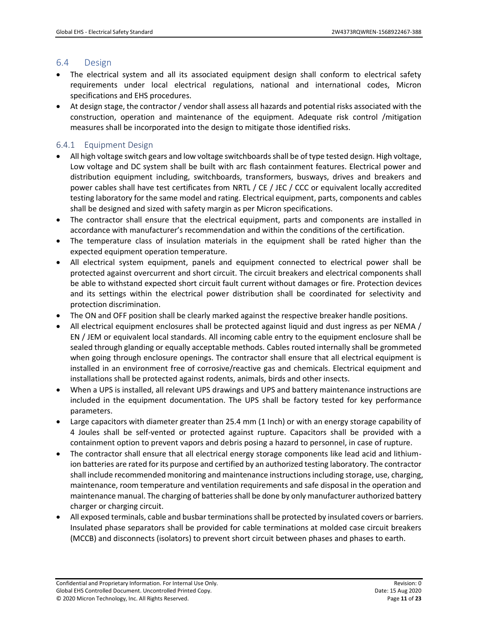### <span id="page-10-0"></span>6.4 Design

- The electrical system and all its associated equipment design shall conform to electrical safety requirements under local electrical regulations, national and international codes, Micron specifications and EHS procedures.
- At design stage, the contractor / vendor shall assess all hazards and potential risks associated with the construction, operation and maintenance of the equipment. Adequate risk control /mitigation measures shall be incorporated into the design to mitigate those identified risks.

### <span id="page-10-1"></span>6.4.1 Equipment Design

- All high voltage switch gears and low voltage switchboards shall be of type tested design. High voltage, Low voltage and DC system shall be built with arc flash containment features. Electrical power and distribution equipment including, switchboards, transformers, busways, drives and breakers and power cables shall have test certificates from NRTL / CE / JEC / CCC or equivalent locally accredited testing laboratory for the same model and rating. Electrical equipment, parts, components and cables shall be designed and sized with safety margin as per Micron specifications.
- The contractor shall ensure that the electrical equipment, parts and components are installed in accordance with manufacturer's recommendation and within the conditions of the certification.
- The temperature class of insulation materials in the equipment shall be rated higher than the expected equipment operation temperature.
- All electrical system equipment, panels and equipment connected to electrical power shall be protected against overcurrent and short circuit. The circuit breakers and electrical components shall be able to withstand expected short circuit fault current without damages or fire. Protection devices and its settings within the electrical power distribution shall be coordinated for selectivity and protection discrimination.
- The ON and OFF position shall be clearly marked against the respective breaker handle positions.
- All electrical equipment enclosures shall be protected against liquid and dust ingress as per NEMA / EN / JEM or equivalent local standards. All incoming cable entry to the equipment enclosure shall be sealed through glanding or equally acceptable methods. Cables routed internally shall be grommeted when going through enclosure openings. The contractor shall ensure that all electrical equipment is installed in an environment free of corrosive/reactive gas and chemicals. Electrical equipment and installations shall be protected against rodents, animals, birds and other insects.
- When a UPS is installed, all relevant UPS drawings and UPS and battery maintenance instructions are included in the equipment documentation. The UPS shall be factory tested for key performance parameters.
- Large capacitors with diameter greater than 25.4 mm (1 Inch) or with an energy storage capability of 4 Joules shall be self-vented or protected against rupture. Capacitors shall be provided with a containment option to prevent vapors and debris posing a hazard to personnel, in case of rupture.
- The contractor shall ensure that all electrical energy storage components like lead acid and lithiumion batteries are rated for its purpose and certified by an authorized testing laboratory. The contractor shall include recommended monitoring and maintenance instructions including storage, use, charging, maintenance, room temperature and ventilation requirements and safe disposal in the operation and maintenance manual. The charging of batteries shall be done by only manufacturer authorized battery charger or charging circuit.
- All exposed terminals, cable and busbar terminations shall be protected by insulated covers or barriers. Insulated phase separators shall be provided for cable terminations at molded case circuit breakers (MCCB) and disconnects (isolators) to prevent short circuit between phases and phases to earth.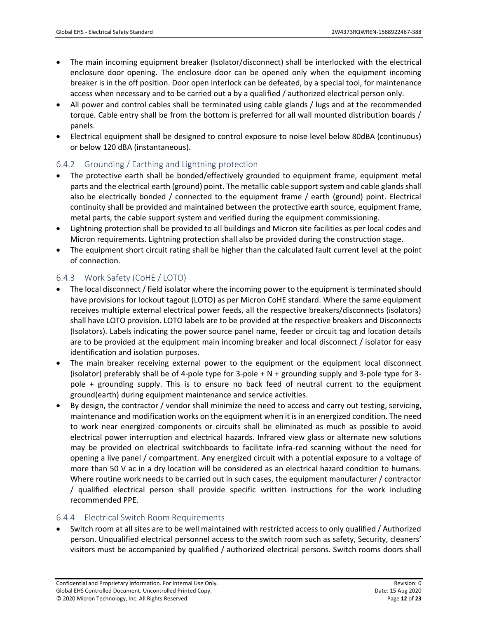- The main incoming equipment breaker (Isolator/disconnect) shall be interlocked with the electrical enclosure door opening. The enclosure door can be opened only when the equipment incoming breaker is in the off position. Door open interlock can be defeated, by a special tool, for maintenance access when necessary and to be carried out a by a qualified / authorized electrical person only.
- All power and control cables shall be terminated using cable glands / lugs and at the recommended torque. Cable entry shall be from the bottom is preferred for all wall mounted distribution boards / panels.
- Electrical equipment shall be designed to control exposure to noise level below 80dBA (continuous) or below 120 dBA (instantaneous).

# <span id="page-11-0"></span>6.4.2 Grounding / Earthing and Lightning protection

- The protective earth shall be bonded/effectively grounded to equipment frame, equipment metal parts and the electrical earth (ground) point. The metallic cable support system and cable glands shall also be electrically bonded / connected to the equipment frame / earth (ground) point. Electrical continuity shall be provided and maintained between the protective earth source, equipment frame, metal parts, the cable support system and verified during the equipment commissioning.
- Lightning protection shall be provided to all buildings and Micron site facilities as per local codes and Micron requirements. Lightning protection shall also be provided during the construction stage.
- The equipment short circuit rating shall be higher than the calculated fault current level at the point of connection.

# <span id="page-11-1"></span>6.4.3 Work Safety (CoHE / LOTO)

- The local disconnect / field isolator where the incoming power to the equipment is terminated should have provisions for lockout tagout (LOTO) as per Micron CoHE standard. Where the same equipment receives multiple external electrical power feeds, all the respective breakers/disconnects (isolators) shall have LOTO provision. LOTO labels are to be provided at the respective breakers and Disconnects (Isolators). Labels indicating the power source panel name, feeder or circuit tag and location details are to be provided at the equipment main incoming breaker and local disconnect / isolator for easy identification and isolation purposes.
- The main breaker receiving external power to the equipment or the equipment local disconnect (isolator) preferably shall be of 4-pole type for 3-pole  $+ N +$  grounding supply and 3-pole type for 3pole + grounding supply. This is to ensure no back feed of neutral current to the equipment ground(earth) during equipment maintenance and service activities.
- By design, the contractor / vendor shall minimize the need to access and carry out testing, servicing, maintenance and modification works on the equipment when it is in an energized condition. The need to work near energized components or circuits shall be eliminated as much as possible to avoid electrical power interruption and electrical hazards. Infrared view glass or alternate new solutions may be provided on electrical switchboards to facilitate infra-red scanning without the need for opening a live panel / compartment. Any energized circuit with a potential exposure to a voltage of more than 50 V ac in a dry location will be considered as an electrical hazard condition to humans. Where routine work needs to be carried out in such cases, the equipment manufacturer / contractor / qualified electrical person shall provide specific written instructions for the work including recommended PPE.

# <span id="page-11-2"></span>6.4.4 Electrical Switch Room Requirements

• Switch room at all sites are to be well maintained with restricted access to only qualified / Authorized person. Unqualified electrical personnel access to the switch room such as safety, Security, cleaners' visitors must be accompanied by qualified / authorized electrical persons. Switch rooms doors shall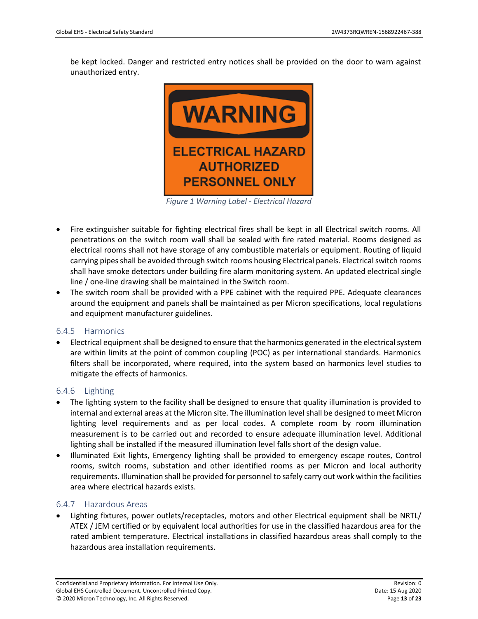be kept locked. Danger and restricted entry notices shall be provided on the door to warn against unauthorized entry.



*Figure 1 Warning Label - Electrical Hazard*

- <span id="page-12-3"></span>• Fire extinguisher suitable for fighting electrical fires shall be kept in all Electrical switch rooms. All penetrations on the switch room wall shall be sealed with fire rated material. Rooms designed as electrical rooms shall not have storage of any combustible materials or equipment. Routing of liquid carrying pipes shall be avoided through switch rooms housing Electrical panels. Electrical switch rooms shall have smoke detectors under building fire alarm monitoring system. An updated electrical single line / one-line drawing shall be maintained in the Switch room.
- The switch room shall be provided with a PPE cabinet with the required PPE. Adequate clearances around the equipment and panels shall be maintained as per Micron specifications, local regulations and equipment manufacturer guidelines.

#### <span id="page-12-0"></span>6.4.5 Harmonics

• Electrical equipment shall be designed to ensure that the harmonics generated in the electrical system are within limits at the point of common coupling (POC) as per international standards. Harmonics filters shall be incorporated, where required, into the system based on harmonics level studies to mitigate the effects of harmonics.

#### <span id="page-12-1"></span>6.4.6 Lighting

- The lighting system to the facility shall be designed to ensure that quality illumination is provided to internal and external areas at the Micron site. The illumination level shall be designed to meet Micron lighting level requirements and as per local codes. A complete room by room illumination measurement is to be carried out and recorded to ensure adequate illumination level. Additional lighting shall be installed if the measured illumination level falls short of the design value.
- Illuminated Exit lights, Emergency lighting shall be provided to emergency escape routes, Control rooms, switch rooms, substation and other identified rooms as per Micron and local authority requirements. Illumination shall be provided for personnel to safely carry out work within the facilities area where electrical hazards exists.

#### <span id="page-12-2"></span>6.4.7 Hazardous Areas

• Lighting fixtures, power outlets/receptacles, motors and other Electrical equipment shall be NRTL/ ATEX / JEM certified or by equivalent local authorities for use in the classified hazardous area for the rated ambient temperature. Electrical installations in classified hazardous areas shall comply to the hazardous area installation requirements.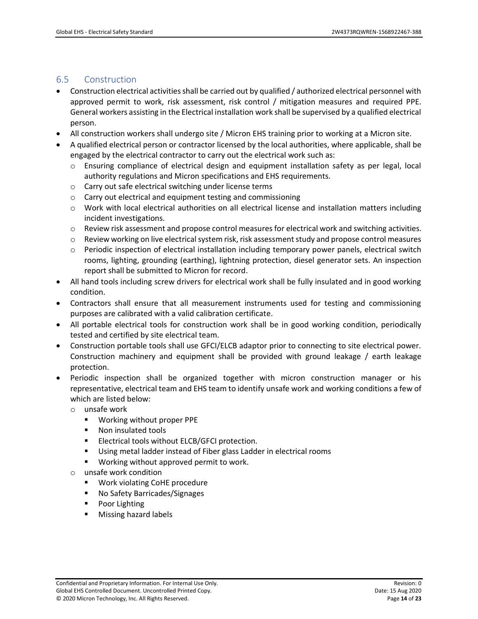### <span id="page-13-0"></span>6.5 Construction

- Construction electrical activities shall be carried out by qualified / authorized electrical personnel with approved permit to work, risk assessment, risk control / mitigation measures and required PPE. General workers assisting in the Electrical installation work shall be supervised by a qualified electrical person.
- All construction workers shall undergo site / Micron EHS training prior to working at a Micron site.
- A qualified electrical person or contractor licensed by the local authorities, where applicable, shall be engaged by the electrical contractor to carry out the electrical work such as:
	- $\circ$  Ensuring compliance of electrical design and equipment installation safety as per legal, local authority regulations and Micron specifications and EHS requirements.
	- o Carry out safe electrical switching under license terms
	- o Carry out electrical and equipment testing and commissioning
	- $\circ$  Work with local electrical authorities on all electrical license and installation matters including incident investigations.
	- $\circ$  Review risk assessment and propose control measures for electrical work and switching activities.
	- o Review working on live electrical system risk, risk assessment study and propose control measures
	- $\circ$  Periodic inspection of electrical installation including temporary power panels, electrical switch rooms, lighting, grounding (earthing), lightning protection, diesel generator sets. An inspection report shall be submitted to Micron for record.
- All hand tools including screw drivers for electrical work shall be fully insulated and in good working condition.
- Contractors shall ensure that all measurement instruments used for testing and commissioning purposes are calibrated with a valid calibration certificate.
- All portable electrical tools for construction work shall be in good working condition, periodically tested and certified by site electrical team.
- Construction portable tools shall use GFCI/ELCB adaptor prior to connecting to site electrical power. Construction machinery and equipment shall be provided with ground leakage / earth leakage protection.
- Periodic inspection shall be organized together with micron construction manager or his representative, electrical team and EHS team to identify unsafe work and working conditions a few of which are listed below:
	- o unsafe work
		- Working without proper PPE
		- Non insulated tools
		- Electrical tools without ELCB/GFCI protection.
		- Using metal ladder instead of Fiber glass Ladder in electrical rooms
		- Working without approved permit to work.
	- o unsafe work condition
		- Work violating CoHE procedure
		- No Safety Barricades/Signages
		- Poor Lighting
		- Missing hazard labels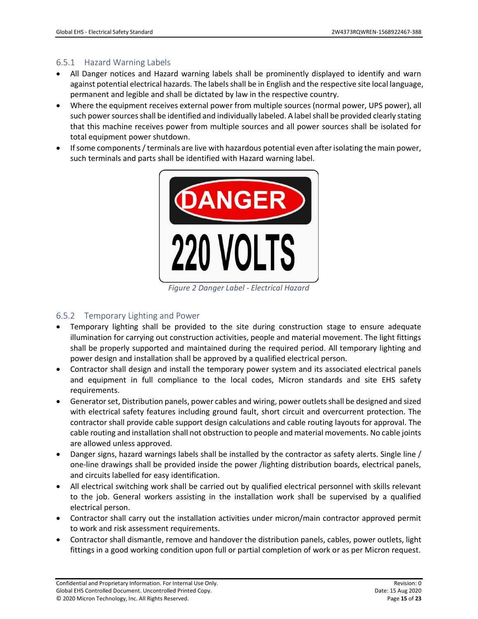# <span id="page-14-0"></span>6.5.1 Hazard Warning Labels

- All Danger notices and Hazard warning labels shall be prominently displayed to identify and warn against potential electrical hazards. The labels shall be in English and the respective site local language, permanent and legible and shall be dictated by law in the respective country.
- Where the equipment receives external power from multiple sources (normal power, UPS power), all such power sources shall be identified and individually labeled. A label shall be provided clearly stating that this machine receives power from multiple sources and all power sources shall be isolated for total equipment power shutdown.
- If some components / terminals are live with hazardous potential even after isolating the main power, such terminals and parts shall be identified with Hazard warning label.



*Figure 2 Danger Label - Electrical Hazard*

# <span id="page-14-2"></span><span id="page-14-1"></span>6.5.2 Temporary Lighting and Power

- Temporary lighting shall be provided to the site during construction stage to ensure adequate illumination for carrying out construction activities, people and material movement. The light fittings shall be properly supported and maintained during the required period. All temporary lighting and power design and installation shall be approved by a qualified electrical person.
- Contractor shall design and install the temporary power system and its associated electrical panels and equipment in full compliance to the local codes, Micron standards and site EHS safety requirements.
- Generator set, Distribution panels, power cables and wiring, power outlets shall be designed and sized with electrical safety features including ground fault, short circuit and overcurrent protection. The contractor shall provide cable support design calculations and cable routing layouts for approval. The cable routing and installation shall not obstruction to people and material movements. No cable joints are allowed unless approved.
- Danger signs, hazard warnings labels shall be installed by the contractor as safety alerts. Single line / one-line drawings shall be provided inside the power /lighting distribution boards, electrical panels, and circuits labelled for easy identification.
- All electrical switching work shall be carried out by qualified electrical personnel with skills relevant to the job. General workers assisting in the installation work shall be supervised by a qualified electrical person.
- Contractor shall carry out the installation activities under micron/main contractor approved permit to work and risk assessment requirements.
- Contractor shall dismantle, remove and handover the distribution panels, cables, power outlets, light fittings in a good working condition upon full or partial completion of work or as per Micron request.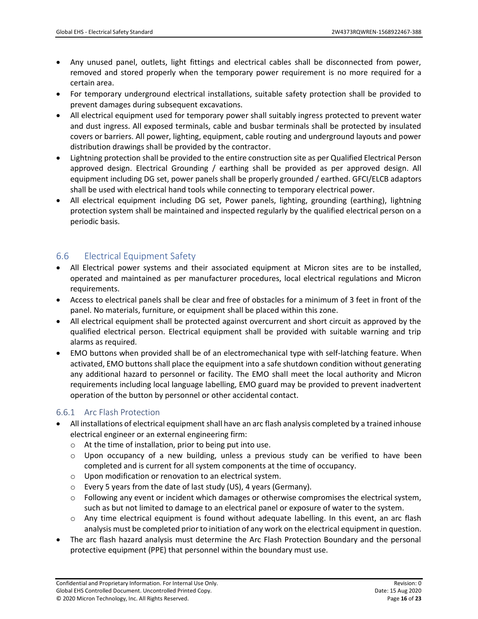- Any unused panel, outlets, light fittings and electrical cables shall be disconnected from power, removed and stored properly when the temporary power requirement is no more required for a certain area.
- For temporary underground electrical installations, suitable safety protection shall be provided to prevent damages during subsequent excavations.
- All electrical equipment used for temporary power shall suitably ingress protected to prevent water and dust ingress. All exposed terminals, cable and busbar terminals shall be protected by insulated covers or barriers. All power, lighting, equipment, cable routing and underground layouts and power distribution drawings shall be provided by the contractor.
- Lightning protection shall be provided to the entire construction site as per Qualified Electrical Person approved design. Electrical Grounding / earthing shall be provided as per approved design. All equipment including DG set, power panels shall be properly grounded / earthed. GFCI/ELCB adaptors shall be used with electrical hand tools while connecting to temporary electrical power.
- All electrical equipment including DG set, Power panels, lighting, grounding (earthing), lightning protection system shall be maintained and inspected regularly by the qualified electrical person on a periodic basis.

# <span id="page-15-0"></span>6.6 Electrical Equipment Safety

- All Electrical power systems and their associated equipment at Micron sites are to be installed, operated and maintained as per manufacturer procedures, local electrical regulations and Micron requirements.
- Access to electrical panels shall be clear and free of obstacles for a minimum of 3 feet in front of the panel. No materials, furniture, or equipment shall be placed within this zone.
- All electrical equipment shall be protected against overcurrent and short circuit as approved by the qualified electrical person. Electrical equipment shall be provided with suitable warning and trip alarms as required.
- EMO buttons when provided shall be of an electromechanical type with self-latching feature. When activated, EMO buttons shall place the equipment into a safe shutdown condition without generating any additional hazard to personnel or facility. The EMO shall meet the local authority and Micron requirements including local language labelling, EMO guard may be provided to prevent inadvertent operation of the button by personnel or other accidental contact.

# <span id="page-15-1"></span>6.6.1 Arc Flash Protection

- All installations of electrical equipment shall have an arc flash analysis completed by a trained inhouse electrical engineer or an external engineering firm:
	- o At the time of installation, prior to being put into use.
	- $\circ$  Upon occupancy of a new building, unless a previous study can be verified to have been completed and is current for all system components at the time of occupancy.
	- o Upon modification or renovation to an electrical system.
	- o Every 5 years from the date of last study (US), 4 years (Germany).
	- $\circ$  Following any event or incident which damages or otherwise compromises the electrical system, such as but not limited to damage to an electrical panel or exposure of water to the system.
	- o Any time electrical equipment is found without adequate labelling. In this event, an arc flash analysis must be completed prior to initiation of any work on the electrical equipment in question.
- The arc flash hazard analysis must determine the Arc Flash Protection Boundary and the personal protective equipment (PPE) that personnel within the boundary must use.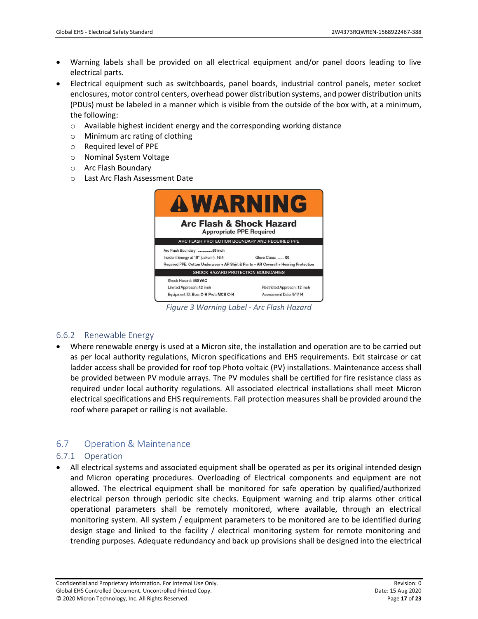- Warning labels shall be provided on all electrical equipment and/or panel doors leading to live electrical parts.
- Electrical equipment such as switchboards, panel boards, industrial control panels, meter socket enclosures, motor control centers, overhead power distribution systems, and power distribution units (PDUs) must be labeled in a manner which is visible from the outside of the box with, at a minimum, the following:
	- $\circ$  Available highest incident energy and the corresponding working distance
	- o Minimum arc rating of clothing
	- o Required level of PPE
	- o Nominal System Voltage
	- o Arc Flash Boundary
	- o Last Arc Flash Assessment Date

| <b>AWARNING</b>                                                                                                                                                            |                                                         |  |
|----------------------------------------------------------------------------------------------------------------------------------------------------------------------------|---------------------------------------------------------|--|
| <b>Arc Flash &amp; Shock Hazard</b><br><b>Appropriate PPE Required</b>                                                                                                     |                                                         |  |
| ARC FLASH PROTECTION BOUNDARY AND REQUIRED PPE                                                                                                                             |                                                         |  |
| Arc Flash Boundary: 89 inch<br>Incident Energy at 18" (cal/cm <sup>2</sup> ): 16.4<br>Required PPE: Cotton Underwear + AR Shirt & Pants + AR Coverall + Hearing Protection | Glove Class:  00                                        |  |
| SHOCK HAZARD PROTECTION BOUNDARIES                                                                                                                                         |                                                         |  |
| Shock Hazard: 480 VAC<br>Limited Approach: 42 inch<br>Equipment ID: Bus: C-H Prot: MCB C-H                                                                                 | Restricted Approach: 12 inch<br>Assessment Date: 9/1/14 |  |

*Figure 3 Warning Label - Arc Flash Hazard*

#### <span id="page-16-3"></span><span id="page-16-0"></span>6.6.2 Renewable Energy

• Where renewable energy is used at a Micron site, the installation and operation are to be carried out as per local authority regulations, Micron specifications and EHS requirements. Exit staircase or cat ladder access shall be provided for roof top Photo voltaic (PV) installations. Maintenance access shall be provided between PV module arrays. The PV modules shall be certified for fire resistance class as required under local authority regulations. All associated electrical installations shall meet Micron electrical specifications and EHS requirements. Fall protection measures shall be provided around the roof where parapet or railing is not available.

# <span id="page-16-1"></span>6.7 Operation & Maintenance

#### <span id="page-16-2"></span>6.7.1 Operation

• All electrical systems and associated equipment shall be operated as per its original intended design and Micron operating procedures. Overloading of Electrical components and equipment are not allowed. The electrical equipment shall be monitored for safe operation by qualified/authorized electrical person through periodic site checks. Equipment warning and trip alarms other critical operational parameters shall be remotely monitored, where available, through an electrical monitoring system. All system / equipment parameters to be monitored are to be identified during design stage and linked to the facility / electrical monitoring system for remote monitoring and trending purposes. Adequate redundancy and back up provisions shall be designed into the electrical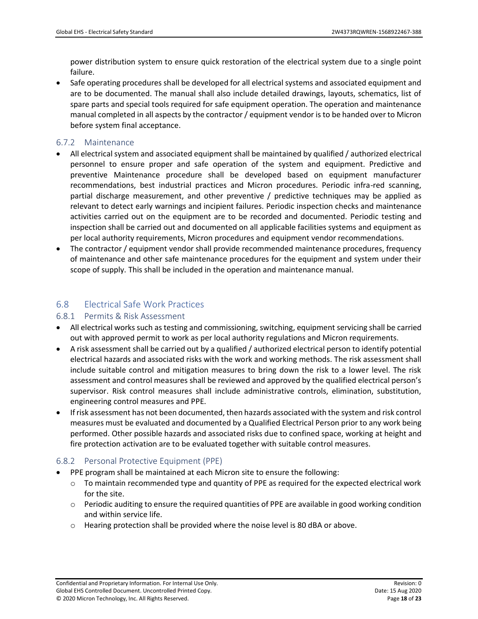power distribution system to ensure quick restoration of the electrical system due to a single point failure.

• Safe operating procedures shall be developed for all electrical systems and associated equipment and are to be documented. The manual shall also include detailed drawings, layouts, schematics, list of spare parts and special tools required for safe equipment operation. The operation and maintenance manual completed in all aspects by the contractor / equipment vendor is to be handed over to Micron before system final acceptance.

### <span id="page-17-0"></span>6.7.2 Maintenance

- All electrical system and associated equipment shall be maintained by qualified / authorized electrical personnel to ensure proper and safe operation of the system and equipment. Predictive and preventive Maintenance procedure shall be developed based on equipment manufacturer recommendations, best industrial practices and Micron procedures. Periodic infra-red scanning, partial discharge measurement, and other preventive / predictive techniques may be applied as relevant to detect early warnings and incipient failures. Periodic inspection checks and maintenance activities carried out on the equipment are to be recorded and documented. Periodic testing and inspection shall be carried out and documented on all applicable facilities systems and equipment as per local authority requirements, Micron procedures and equipment vendor recommendations.
- The contractor / equipment vendor shall provide recommended maintenance procedures, frequency of maintenance and other safe maintenance procedures for the equipment and system under their scope of supply. This shall be included in the operation and maintenance manual.

# <span id="page-17-1"></span>6.8 Electrical Safe Work Practices

# <span id="page-17-2"></span>6.8.1 Permits & Risk Assessment

- All electrical works such as testing and commissioning, switching, equipment servicing shall be carried out with approved permit to work as per local authority regulations and Micron requirements.
- A risk assessment shall be carried out by a qualified / authorized electrical person to identify potential electrical hazards and associated risks with the work and working methods. The risk assessment shall include suitable control and mitigation measures to bring down the risk to a lower level. The risk assessment and control measures shall be reviewed and approved by the qualified electrical person's supervisor. Risk control measures shall include administrative controls, elimination, substitution, engineering control measures and PPE.
- If risk assessment has not been documented, then hazards associated with the system and risk control measures must be evaluated and documented by a Qualified Electrical Person prior to any work being performed. Other possible hazards and associated risks due to confined space, working at height and fire protection activation are to be evaluated together with suitable control measures.

# <span id="page-17-3"></span>6.8.2 Personal Protective Equipment (PPE)

- PPE program shall be maintained at each Micron site to ensure the following:
	- $\circ$  To maintain recommended type and quantity of PPE as required for the expected electrical work for the site.
	- o Periodic auditing to ensure the required quantities of PPE are available in good working condition and within service life.
	- o Hearing protection shall be provided where the noise level is 80 dBA or above.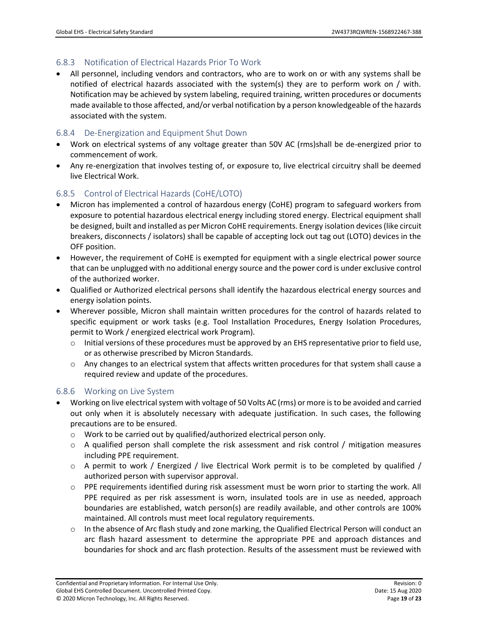# <span id="page-18-0"></span>6.8.3 Notification of Electrical Hazards Prior To Work

• All personnel, including vendors and contractors, who are to work on or with any systems shall be notified of electrical hazards associated with the system(s) they are to perform work on / with. Notification may be achieved by system labeling, required training, written procedures or documents made available to those affected, and/or verbal notification by a person knowledgeable of the hazards associated with the system.

# <span id="page-18-1"></span>6.8.4 De-Energization and Equipment Shut Down

- Work on electrical systems of any voltage greater than 50V AC (rms)shall be de-energized prior to commencement of work.
- Any re-energization that involves testing of, or exposure to, live electrical circuitry shall be deemed live Electrical Work.

# <span id="page-18-2"></span>6.8.5 Control of Electrical Hazards (CoHE/LOTO)

- Micron has implemented a control of hazardous energy (CoHE) program to safeguard workers from exposure to potential hazardous electrical energy including stored energy. Electrical equipment shall be designed, built and installed as per Micron CoHE requirements. Energy isolation devices (like circuit breakers, disconnects / isolators) shall be capable of accepting lock out tag out (LOTO) devices in the OFF position.
- However, the requirement of CoHE is exempted for equipment with a single electrical power source that can be unplugged with no additional energy source and the power cord is under exclusive control of the authorized worker.
- Qualified or Authorized electrical persons shall identify the hazardous electrical energy sources and energy isolation points.
- Wherever possible, Micron shall maintain written procedures for the control of hazards related to specific equipment or work tasks (e.g. Tool Installation Procedures, Energy Isolation Procedures, permit to Work / energized electrical work Program).
	- $\circ$  Initial versions of these procedures must be approved by an EHS representative prior to field use, or as otherwise prescribed by Micron Standards.
	- $\circ$  Any changes to an electrical system that affects written procedures for that system shall cause a required review and update of the procedures.

# <span id="page-18-3"></span>6.8.6 Working on Live System

- Working on live electrical system with voltage of 50 Volts AC (rms) or more is to be avoided and carried out only when it is absolutely necessary with adequate justification. In such cases, the following precautions are to be ensured.
	- o Work to be carried out by qualified/authorized electrical person only.
	- $\circ$  A qualified person shall complete the risk assessment and risk control / mitigation measures including PPE requirement.
	- $\circ$  A permit to work / Energized / live Electrical Work permit is to be completed by qualified / authorized person with supervisor approval.
	- $\circ$  PPE requirements identified during risk assessment must be worn prior to starting the work. All PPE required as per risk assessment is worn, insulated tools are in use as needed, approach boundaries are established, watch person(s) are readily available, and other controls are 100% maintained. All controls must meet local regulatory requirements.
	- o In the absence of Arc flash study and zone marking, the Qualified Electrical Person will conduct an arc flash hazard assessment to determine the appropriate PPE and approach distances and boundaries for shock and arc flash protection. Results of the assessment must be reviewed with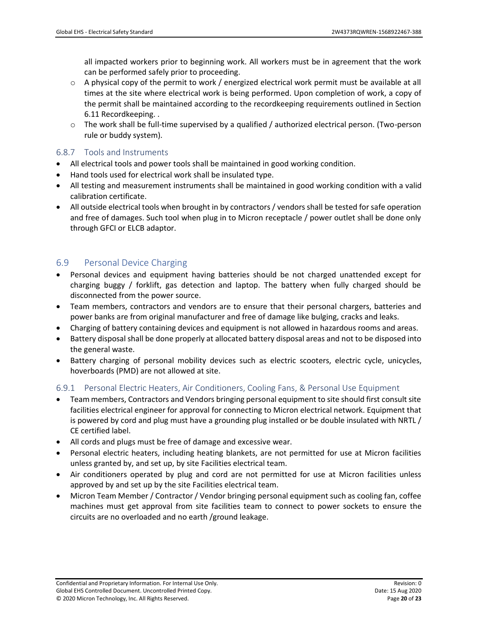all impacted workers prior to beginning work. All workers must be in agreement that the work can be performed safely prior to proceeding.

- $\circ$  A physical copy of the permit to work / energized electrical work permit must be available at all times at the site where electrical work is being performed. Upon completion of work, a copy of the permit shall be maintained according to the recordkeeping requirements outlined in Section 6.11 Recordkeeping. .
- $\circ$  The work shall be full-time supervised by a qualified / authorized electrical person. (Two-person rule or buddy system).

### <span id="page-19-0"></span>6.8.7 Tools and Instruments

- All electrical tools and power tools shall be maintained in good working condition.
- Hand tools used for electrical work shall be insulated type.
- All testing and measurement instruments shall be maintained in good working condition with a valid calibration certificate.
- All outside electrical tools when brought in by contractors / vendors shall be tested for safe operation and free of damages. Such tool when plug in to Micron receptacle / power outlet shall be done only through GFCI or ELCB adaptor.

# <span id="page-19-1"></span>6.9 Personal Device Charging

- Personal devices and equipment having batteries should be not charged unattended except for charging buggy / forklift, gas detection and laptop. The battery when fully charged should be disconnected from the power source.
- Team members, contractors and vendors are to ensure that their personal chargers, batteries and power banks are from original manufacturer and free of damage like bulging, cracks and leaks.
- Charging of battery containing devices and equipment is not allowed in hazardous rooms and areas.
- Battery disposal shall be done properly at allocated battery disposal areas and not to be disposed into the general waste.
- Battery charging of personal mobility devices such as electric scooters, electric cycle, unicycles, hoverboards (PMD) are not allowed at site.

#### <span id="page-19-2"></span>6.9.1 Personal Electric Heaters, Air Conditioners, Cooling Fans, & Personal Use Equipment

- Team members, Contractors and Vendors bringing personal equipment to site should first consult site facilities electrical engineer for approval for connecting to Micron electrical network. Equipment that is powered by cord and plug must have a grounding plug installed or be double insulated with NRTL / CE certified label.
- All cords and plugs must be free of damage and excessive wear.
- Personal electric heaters, including heating blankets, are not permitted for use at Micron facilities unless granted by, and set up, by site Facilities electrical team.
- Air conditioners operated by plug and cord are not permitted for use at Micron facilities unless approved by and set up by the site Facilities electrical team.
- Micron Team Member / Contractor / Vendor bringing personal equipment such as cooling fan, coffee machines must get approval from site facilities team to connect to power sockets to ensure the circuits are no overloaded and no earth /ground leakage.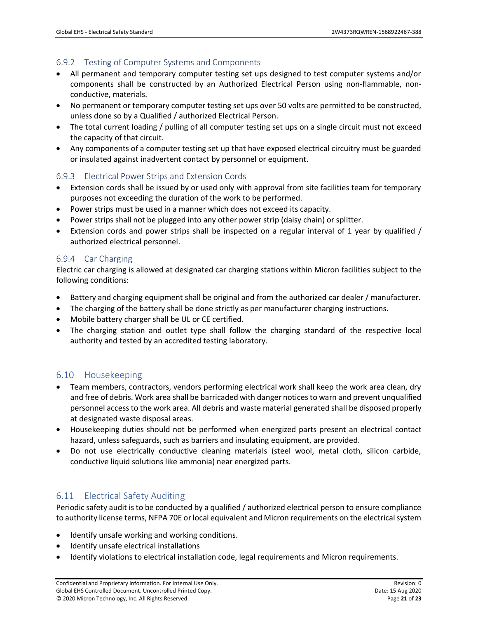# <span id="page-20-0"></span>6.9.2 Testing of Computer Systems and Components

- All permanent and temporary computer testing set ups designed to test computer systems and/or components shall be constructed by an Authorized Electrical Person using non-flammable, nonconductive, materials.
- No permanent or temporary computer testing set ups over 50 volts are permitted to be constructed, unless done so by a Qualified / authorized Electrical Person.
- The total current loading / pulling of all computer testing set ups on a single circuit must not exceed the capacity of that circuit.
- Any components of a computer testing set up that have exposed electrical circuitry must be guarded or insulated against inadvertent contact by personnel or equipment.

# <span id="page-20-1"></span>6.9.3 Electrical Power Strips and Extension Cords

- Extension cords shall be issued by or used only with approval from site facilities team for temporary purposes not exceeding the duration of the work to be performed.
- Power strips must be used in a manner which does not exceed its capacity.
- Power strips shall not be plugged into any other power strip (daisy chain) or splitter.
- Extension cords and power strips shall be inspected on a regular interval of 1 year by qualified / authorized electrical personnel.

# <span id="page-20-2"></span>6.9.4 Car Charging

Electric car charging is allowed at designated car charging stations within Micron facilities subject to the following conditions:

- Battery and charging equipment shall be original and from the authorized car dealer / manufacturer.
- The charging of the battery shall be done strictly as per manufacturer charging instructions.
- Mobile battery charger shall be UL or CE certified.
- The charging station and outlet type shall follow the charging standard of the respective local authority and tested by an accredited testing laboratory.

# <span id="page-20-3"></span>6.10 Housekeeping

- Team members, contractors, vendors performing electrical work shall keep the work area clean, dry and free of debris. Work area shall be barricaded with danger notices to warn and prevent unqualified personnel access to the work area. All debris and waste material generated shall be disposed properly at designated waste disposal areas.
- Housekeeping duties should not be performed when energized parts present an electrical contact hazard, unless safeguards, such as barriers and insulating equipment, are provided.
- Do not use electrically conductive cleaning materials (steel wool, metal cloth, silicon carbide, conductive liquid solutions like ammonia) near energized parts.

# <span id="page-20-4"></span>6.11 Electrical Safety Auditing

Periodic safety audit is to be conducted by a qualified / authorized electrical person to ensure compliance to authority license terms, NFPA 70E or local equivalent and Micron requirements on the electrical system

- Identify unsafe working and working conditions.
- Identify unsafe electrical installations
- Identify violations to electrical installation code, legal requirements and Micron requirements.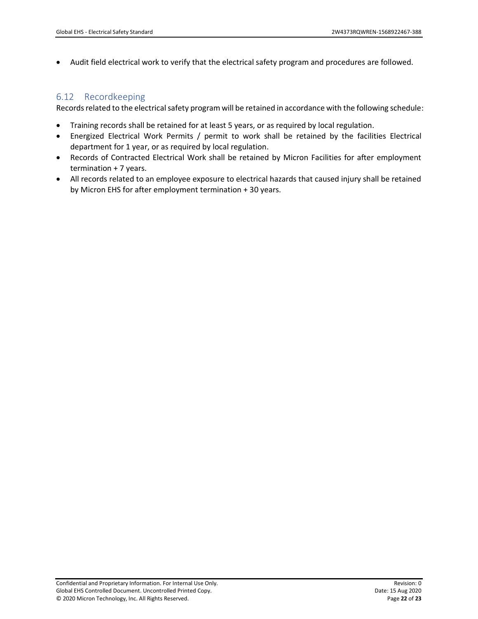• Audit field electrical work to verify that the electrical safety program and procedures are followed.

# <span id="page-21-0"></span>6.12 Recordkeeping

Records related to the electrical safety program will be retained in accordance with the following schedule:

- Training records shall be retained for at least 5 years, or as required by local regulation.
- Energized Electrical Work Permits / permit to work shall be retained by the facilities Electrical department for 1 year, or as required by local regulation.
- Records of Contracted Electrical Work shall be retained by Micron Facilities for after employment termination + 7 years.
- All records related to an employee exposure to electrical hazards that caused injury shall be retained by Micron EHS for after employment termination + 30 years.